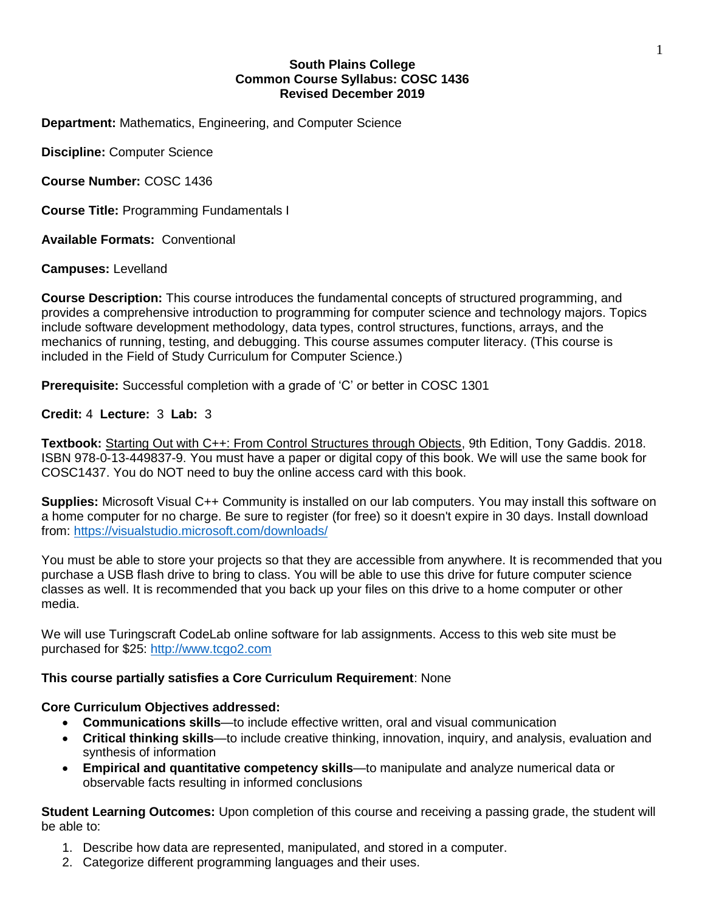### **South Plains College Common Course Syllabus: COSC 1436 Revised December 2019**

**Department:** Mathematics, Engineering, and Computer Science

**Discipline:** Computer Science

**Course Number:** COSC 1436

**Course Title:** Programming Fundamentals I

**Available Formats:** Conventional

**Campuses:** Levelland

**Course Description:** This course introduces the fundamental concepts of structured programming, and provides a comprehensive introduction to programming for computer science and technology majors. Topics include software development methodology, data types, control structures, functions, arrays, and the mechanics of running, testing, and debugging. This course assumes computer literacy. (This course is included in the Field of Study Curriculum for Computer Science.)

**Prerequisite:** Successful completion with a grade of 'C' or better in COSC 1301

# **Credit:** 4 **Lecture:** 3 **Lab:** 3

**Textbook:** Starting Out with C++: From Control Structures through Objects, 9th Edition, Tony Gaddis. 2018. ISBN 978-0-13-449837-9. You must have a paper or digital copy of this book. We will use the same book for COSC1437. You do NOT need to buy the online access card with this book.

**Supplies:** Microsoft Visual C++ Community is installed on our lab computers. You may install this software on a home computer for no charge. Be sure to register (for free) so it doesn't expire in 30 days. Install download from:<https://visualstudio.microsoft.com/downloads/>

You must be able to store your projects so that they are accessible from anywhere. It is recommended that you purchase a USB flash drive to bring to class. You will be able to use this drive for future computer science classes as well. It is recommended that you back up your files on this drive to a home computer or other media.

We will use Turingscraft CodeLab online software for lab assignments. Access to this web site must be purchased for \$25: [http://www.tcgo2.com](http://www.tcgo2.com/)

# **This course partially satisfies a Core Curriculum Requirement**: None

### **Core Curriculum Objectives addressed:**

- **Communications skills**—to include effective written, oral and visual communication
- **Critical thinking skills**—to include creative thinking, innovation, inquiry, and analysis, evaluation and synthesis of information
- **Empirical and quantitative competency skills**—to manipulate and analyze numerical data or observable facts resulting in informed conclusions

**Student Learning Outcomes:** Upon completion of this course and receiving a passing grade, the student will be able to:

- 1. Describe how data are represented, manipulated, and stored in a computer.
- 2. Categorize different programming languages and their uses.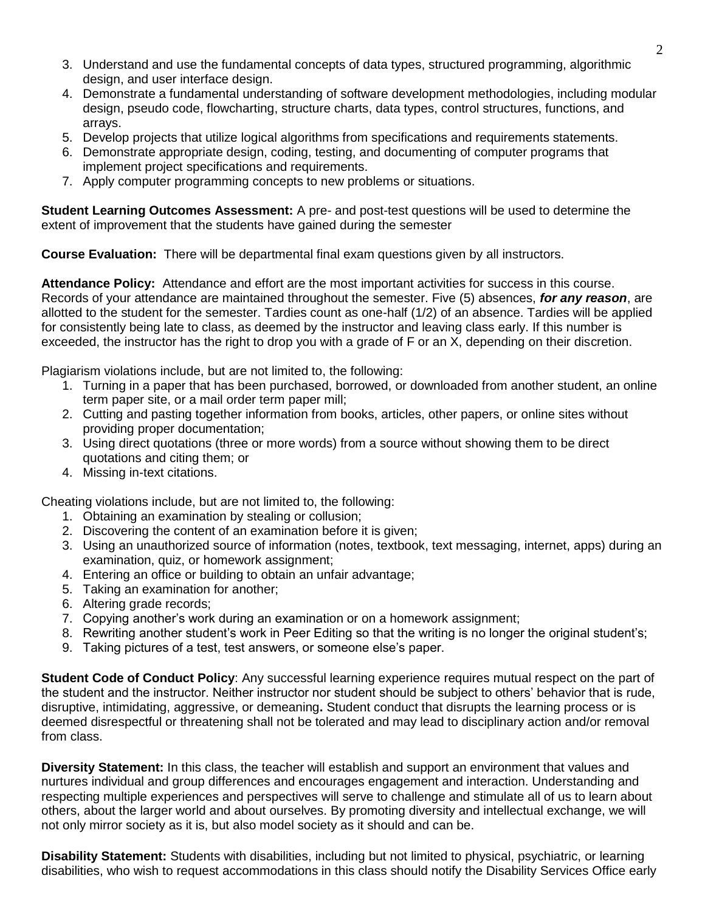- 3. Understand and use the fundamental concepts of data types, structured programming, algorithmic design, and user interface design.
- 4. Demonstrate a fundamental understanding of software development methodologies, including modular design, pseudo code, flowcharting, structure charts, data types, control structures, functions, and arrays.
- 5. Develop projects that utilize logical algorithms from specifications and requirements statements.
- 6. Demonstrate appropriate design, coding, testing, and documenting of computer programs that implement project specifications and requirements.
- 7. Apply computer programming concepts to new problems or situations.

**Student Learning Outcomes Assessment:** A pre- and post-test questions will be used to determine the extent of improvement that the students have gained during the semester

**Course Evaluation:** There will be departmental final exam questions given by all instructors.

**Attendance Policy:** Attendance and effort are the most important activities for success in this course. Records of your attendance are maintained throughout the semester. Five (5) absences, *for any reason*, are allotted to the student for the semester. Tardies count as one-half (1/2) of an absence. Tardies will be applied for consistently being late to class, as deemed by the instructor and leaving class early. If this number is exceeded, the instructor has the right to drop you with a grade of F or an X, depending on their discretion.

Plagiarism violations include, but are not limited to, the following:

- 1. Turning in a paper that has been purchased, borrowed, or downloaded from another student, an online term paper site, or a mail order term paper mill;
- 2. Cutting and pasting together information from books, articles, other papers, or online sites without providing proper documentation;
- 3. Using direct quotations (three or more words) from a source without showing them to be direct quotations and citing them; or
- 4. Missing in-text citations.

Cheating violations include, but are not limited to, the following:

- 1. Obtaining an examination by stealing or collusion;
- 2. Discovering the content of an examination before it is given;
- 3. Using an unauthorized source of information (notes, textbook, text messaging, internet, apps) during an examination, quiz, or homework assignment;
- 4. Entering an office or building to obtain an unfair advantage;
- 5. Taking an examination for another;
- 6. Altering grade records;
- 7. Copying another's work during an examination or on a homework assignment;
- 8. Rewriting another student's work in Peer Editing so that the writing is no longer the original student's;
- 9. Taking pictures of a test, test answers, or someone else's paper.

**Student Code of Conduct Policy**: Any successful learning experience requires mutual respect on the part of the student and the instructor. Neither instructor nor student should be subject to others' behavior that is rude, disruptive, intimidating, aggressive, or demeaning**.** Student conduct that disrupts the learning process or is deemed disrespectful or threatening shall not be tolerated and may lead to disciplinary action and/or removal from class.

**Diversity Statement:** In this class, the teacher will establish and support an environment that values and nurtures individual and group differences and encourages engagement and interaction. Understanding and respecting multiple experiences and perspectives will serve to challenge and stimulate all of us to learn about others, about the larger world and about ourselves. By promoting diversity and intellectual exchange, we will not only mirror society as it is, but also model society as it should and can be.

**Disability Statement:** Students with disabilities, including but not limited to physical, psychiatric, or learning disabilities, who wish to request accommodations in this class should notify the Disability Services Office early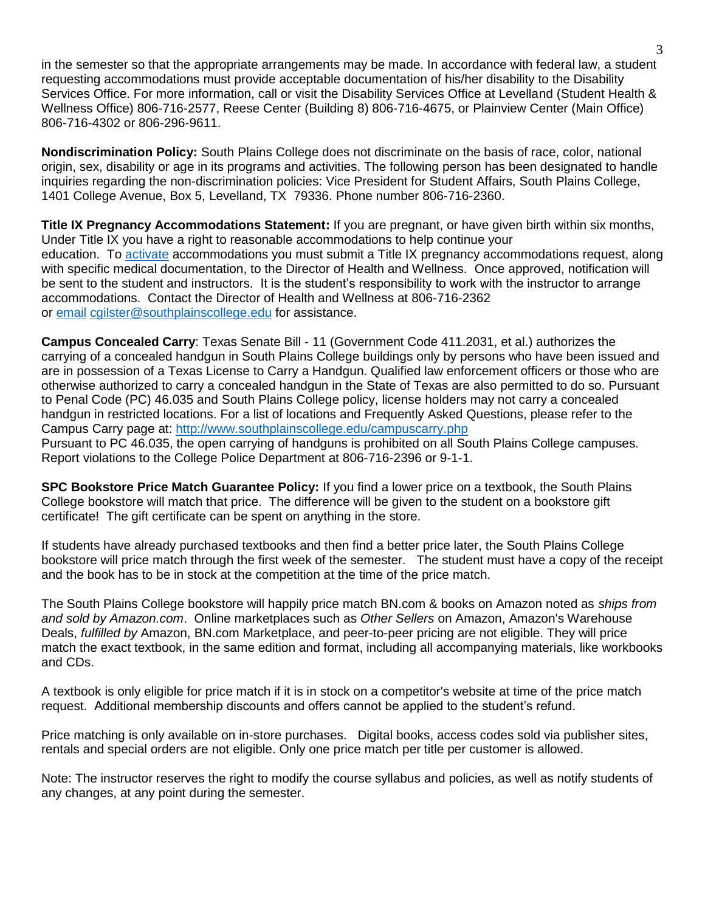in the semester so that the appropriate arrangements may be made. In accordance with federal law, a student requesting accommodations must provide acceptable documentation of his/her disability to the Disability Services Office. For more information, call or visit the Disability Services Office at Levelland (Student Health & Wellness Office) 806-716-2577, Reese Center (Building 8) 806-716-4675, or Plainview Center (Main Office) 806-716-4302 or 806-296-9611.

**Nondiscrimination Policy:** South Plains College does not discriminate on the basis of race, color, national origin, sex, disability or age in its programs and activities. The following person has been designated to handle inquiries regarding the non-discrimination policies: Vice President for Student Affairs, South Plains College, 1401 College Avenue, Box 5, Levelland, TX 79336. Phone number 806-716-2360.

**Title IX Pregnancy Accommodations Statement:** If you are pregnant, or have given birth within six months, Under Title IX you have a right to reasonable accommodations to help continue your education. To [activate](http://www.southplainscollege.edu/employees/manualshandbooks/facultyhandbook/sec4.php) accommodations you must submit a Title IX pregnancy accommodations request, along with specific medical documentation, to the Director of Health and Wellness. Once approved, notification will be sent to the student and instructors. It is the student's responsibility to work with the instructor to arrange accommodations. Contact the Director of Health and Wellness at 806-716-2362 or [email](http://www.southplainscollege.edu/employees/manualshandbooks/facultyhandbook/sec4.php) [cgilster@southplainscollege.edu](mailto:cgilster@southplainscollege.edu) for assistance.

**Campus Concealed Carry**: Texas Senate Bill - 11 (Government Code 411.2031, et al.) authorizes the carrying of a concealed handgun in South Plains College buildings only by persons who have been issued and are in possession of a Texas License to Carry a Handgun. Qualified law enforcement officers or those who are otherwise authorized to carry a concealed handgun in the State of Texas are also permitted to do so. Pursuant to Penal Code (PC) 46.035 and South Plains College policy, license holders may not carry a concealed handgun in restricted locations. For a list of locations and Frequently Asked Questions, please refer to the Campus Carry page at: <http://www.southplainscollege.edu/campuscarry.php>

Pursuant to PC 46.035, the open carrying of handguns is prohibited on all South Plains College campuses. Report violations to the College Police Department at 806-716-2396 or 9-1-1.

**SPC Bookstore Price Match Guarantee Policy:** If you find a lower price on a textbook, the South Plains College bookstore will match that price. The difference will be given to the student on a bookstore gift certificate! The gift certificate can be spent on anything in the store.

If students have already purchased textbooks and then find a better price later, the South Plains College bookstore will price match through the first week of the semester. The student must have a copy of the receipt and the book has to be in stock at the competition at the time of the price match.

The South Plains College bookstore will happily price match BN.com & books on Amazon noted as *ships from and sold by Amazon.com*. Online marketplaces such as *Other Sellers* on Amazon, Amazon's Warehouse Deals, *fulfilled by* Amazon, BN.com Marketplace, and peer-to-peer pricing are not eligible. They will price match the exact textbook, in the same edition and format, including all accompanying materials, like workbooks and CDs.

A textbook is only eligible for price match if it is in stock on a competitor's website at time of the price match request. Additional membership discounts and offers cannot be applied to the student's refund.

Price matching is only available on in-store purchases. Digital books, access codes sold via publisher sites, rentals and special orders are not eligible. Only one price match per title per customer is allowed.

Note: The instructor reserves the right to modify the course syllabus and policies, as well as notify students of any changes, at any point during the semester.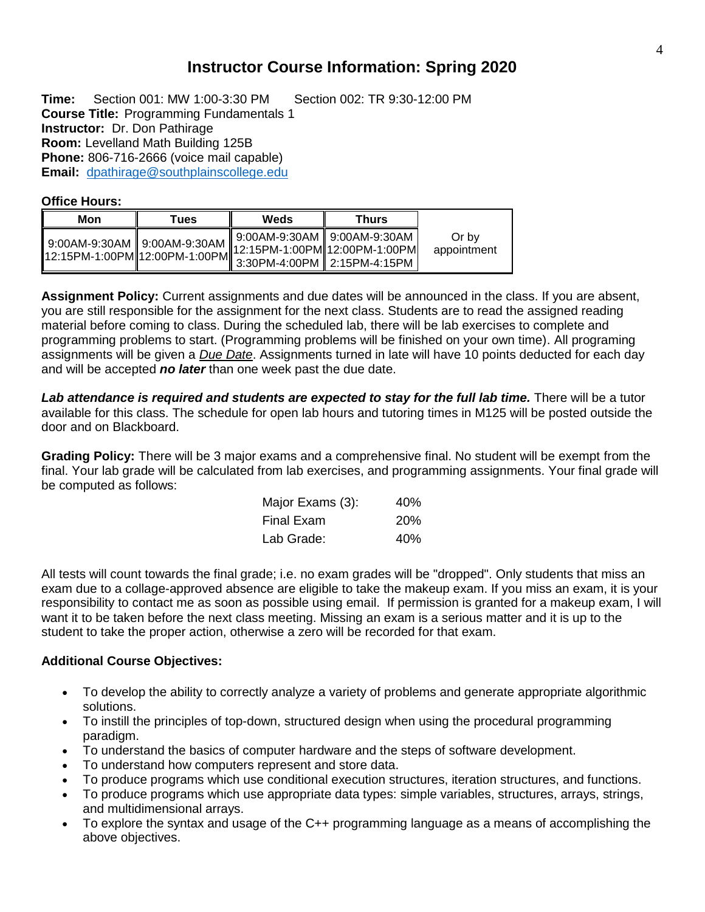# **Instructor Course Information: Spring 2020**

**Time:** Section 001: MW 1:00-3:30 PM Section 002: TR 9:30-12:00 PM **Course Title:** Programming Fundamentals 1 **Instructor:** Dr. Don Pathirage **Room:** Levelland Math Building 125B **Phone:** 806-716-2666 (voice mail capable) **Email:** [dpathirage@southplainscollege.edu](mailto:dpathirage@southplainscollege.edu)

### **Office Hours:**

| Mon                           | Tues                          | Weds                                                              | Thurs |                      |
|-------------------------------|-------------------------------|-------------------------------------------------------------------|-------|----------------------|
| 9:00AM-9:30AM   9:00AM-9:30AM | 12:15PM-1:00PM 12:00PM-1:00PM | 9:00AM-9:30AM    9:00AM-9:30AM<br>.∥12:15PM-1:00PM∥12:00PM-1:00PM |       | Or by<br>appointment |

**Assignment Policy:** Current assignments and due dates will be announced in the class. If you are absent, you are still responsible for the assignment for the next class. Students are to read the assigned reading material before coming to class. During the scheduled lab, there will be lab exercises to complete and programming problems to start. (Programming problems will be finished on your own time). All programing assignments will be given a *Due Date*. Assignments turned in late will have 10 points deducted for each day and will be accepted *no later* than one week past the due date.

Lab attendance is required and students are expected to stay for the full lab time. There will be a tutor available for this class. The schedule for open lab hours and tutoring times in M125 will be posted outside the door and on Blackboard.

**Grading Policy:** There will be 3 major exams and a comprehensive final. No student will be exempt from the final. Your lab grade will be calculated from lab exercises, and programming assignments. Your final grade will be computed as follows:

| Major Exams (3): | 40%        |
|------------------|------------|
| Final Exam       | <b>20%</b> |
| Lab Grade:       | 40%        |

All tests will count towards the final grade; i.e. no exam grades will be "dropped". Only students that miss an exam due to a collage-approved absence are eligible to take the makeup exam. If you miss an exam, it is your responsibility to contact me as soon as possible using email. If permission is granted for a makeup exam, I will want it to be taken before the next class meeting. Missing an exam is a serious matter and it is up to the student to take the proper action, otherwise a zero will be recorded for that exam.

### **Additional Course Objectives:**

- To develop the ability to correctly analyze a variety of problems and generate appropriate algorithmic solutions.
- To instill the principles of top-down, structured design when using the procedural programming paradigm.
- To understand the basics of computer hardware and the steps of software development.
- To understand how computers represent and store data.
- To produce programs which use conditional execution structures, iteration structures, and functions.
- To produce programs which use appropriate data types: simple variables, structures, arrays, strings, and multidimensional arrays.
- To explore the syntax and usage of the C++ programming language as a means of accomplishing the above objectives.